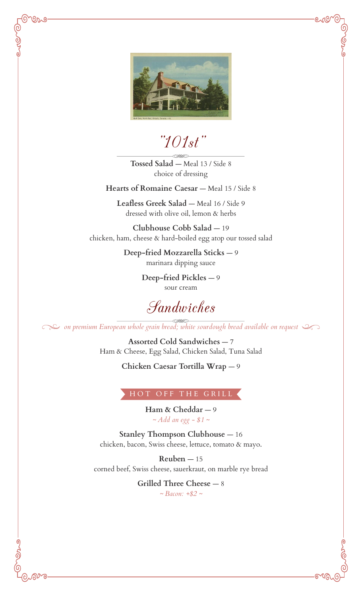

಄೩಄

"101st"

**Tossed Salad** — Meal 13 / Side 8 choice of dressing

Hearts of Romaine Caesar - Meal 15 / Side 8

Leafless Greek Salad - Meal 16 / Side 9 dressed with olive oil, lemon & herbs

**Clubhouse Cobb Salad** — 19 chicken, ham, cheese & hard-boiled egg atop our tossed salad

> **Deep-fried Mozzarella Sticks** — 9 marinara dipping sauce

> > **Deep-fried Pickles** — 9 sour cream

Sandwiches

*on premium European whole grain bread; white sourdough bread available on request*

**Assorted Cold Sandwiches** — 7 Ham & Cheese, Egg Salad, Chicken Salad, Tuna Salad

**Chicken Caesar Tortilla Wrap** — 9

## HOT OFF THE GRILL

**Ham & Cheddar** — 9 *~ Add an egg - \$1 ~*

**Stanley Thompson Clubhouse - 16** chicken, bacon, Swiss cheese, lettuce, tomato & mayo.

 $Reuben - 15$ corned beef, Swiss cheese, sauerkraut, on marble rye bread

> **Grilled Three Cheese** — 8 *~ Bacon: +\$2 ~*